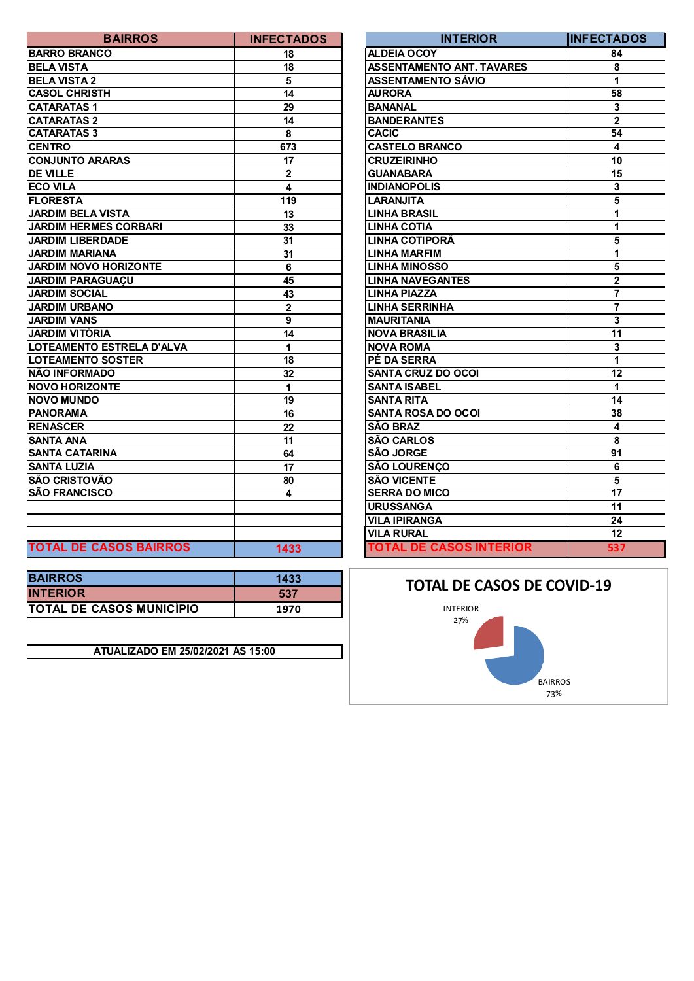| <b>BAIRROS</b>                | <b>INFECTADOS</b>       | <b>INTERIOR</b>                  | <b>IINFECTA</b>         |
|-------------------------------|-------------------------|----------------------------------|-------------------------|
| <b>BARRO BRANCO</b>           | 18                      | <b>ALDEIA OCOY</b>               | 84                      |
| <b>BELA VISTA</b>             | 18                      | <b>ASSENTAMENTO ANT. TAVARES</b> | 8                       |
| <b>BELA VISTA 2</b>           | 5                       | <b>ASSENTAMENTO SÁVIO</b>        | $\overline{1}$          |
| <b>CASOL CHRISTH</b>          | 14                      | <b>AURORA</b>                    | 58                      |
| <b>CATARATAS1</b>             | 29                      | <b>BANANAL</b>                   | $\mathbf{3}$            |
| <b>CATARATAS 2</b>            | 14                      | <b>BANDERANTES</b>               | $\overline{\mathbf{2}}$ |
| <b>CATARATAS 3</b>            | 8                       | <b>CACIC</b>                     | 54                      |
| <b>CENTRO</b>                 | 673                     | <b>CASTELO BRANCO</b>            | 4                       |
| <b>CONJUNTO ARARAS</b>        | 17                      | <b>CRUZEIRINHO</b>               | 10                      |
| <b>DE VILLE</b>               | $\mathbf 2$             | <b>GUANABARA</b>                 | $\overline{15}$         |
| <b>ECO VILA</b>               | $\overline{\mathbf{4}}$ | <b>INDIANOPOLIS</b>              | $\mathbf{3}$            |
| <b>FLORESTA</b>               | 119                     | <b>LARANJITA</b>                 | $\overline{5}$          |
| <b>JARDIM BELA VISTA</b>      | 13                      | <b>LINHA BRASIL</b>              | $\overline{1}$          |
| <b>JARDIM HERMES CORBARI</b>  | 33                      | <b>LINHA COTIA</b>               | $\overline{1}$          |
| <b>JARDIM LIBERDADE</b>       | 31                      | <b>LINHA COTIPORÃ</b>            | $\overline{\mathbf{5}}$ |
| <b>JARDIM MARIANA</b>         | 31                      | <b>LINHA MARFIM</b>              | $\mathbf{1}$            |
| <b>JARDIM NOVO HORIZONTE</b>  | 6                       | <b>LINHA MINOSSO</b>             | $\overline{\mathbf{5}}$ |
| <b>JARDIM PARAGUAÇU</b>       | 45                      | <b>LINHA NAVEGANTES</b>          | $\overline{2}$          |
| <b>JARDIM SOCIAL</b>          | 43                      | <b>LINHA PIAZZA</b>              | $\overline{\mathbf{7}}$ |
| <b>JARDIM URBANO</b>          | $\mathbf 2$             | <b>LINHA SERRINHA</b>            | $\overline{\mathbf{7}}$ |
| <b>JARDIM VANS</b>            | 9                       | <b>MAURITANIA</b>                | $\overline{\mathbf{3}}$ |
| <b>JARDIM VITÓRIA</b>         | 14                      | <b>NOVA BRASILIA</b>             | $\overline{11}$         |
| LOTEAMENTO ESTRELA D'ALVA     | 1                       | <b>NOVA ROMA</b>                 | $\mathbf 3$             |
| <b>LOTEAMENTO SOSTER</b>      | 18                      | PÉ DA SERRA                      | $\overline{1}$          |
| NÃO INFORMADO                 | 32                      | <b>SANTA CRUZ DO OCOI</b>        | $\overline{12}$         |
| <b>NOVO HORIZONTE</b>         | 1                       | <b>SANTA ISABEL</b>              | 1                       |
| <b>NOVO MUNDO</b>             | 19                      | <b>SANTA RITA</b>                | 14                      |
| <b>PANORAMA</b>               | 16                      | <b>SANTA ROSA DO OCOI</b>        | 38                      |
| <b>RENASCER</b>               | 22                      | <b>SÃO BRAZ</b>                  | $\overline{\mathbf{4}}$ |
| <b>SANTA ANA</b>              | 11                      | <b>SÃO CARLOS</b>                | 8                       |
| <b>SANTA CATARINA</b>         | 64                      | <b>SÃO JORGE</b>                 | 91                      |
| <b>SANTA LUZIA</b>            | 17                      | <b>SÃO LOURENÇO</b>              | $\overline{6}$          |
| SÃO CRISTOVÃO                 | 80                      | <b>SÃO VICENTE</b>               | $\overline{5}$          |
| SÃO FRANCISCO                 | 4                       | <b>SERRA DO MICO</b>             | $\overline{17}$         |
|                               |                         | <b>URUSSANGA</b>                 | 11                      |
|                               |                         | <b>VILA IPIRANGA</b>             | 24                      |
|                               |                         | <b>VILA RURAL</b>                | $\overline{12}$         |
| <b>TOTAL DE CASOS BAIRROS</b> | 1433                    | <b>TOTAL DE CASOS INTERIOR</b>   | 53                      |

| <b>BAIRROS</b>                  | 1433 |
|---------------------------------|------|
| <b>INTERIOR</b>                 | 537  |
| <b>TOTAL DE CASOS MUNICIPIO</b> | 1970 |

**ATUALIZADO EM 25/02/2021 ÀS 15:00**

| <b>BAIRROS</b>                | <b>INFECTADOS</b> | <b>INTERIOR</b>                  | <b>INFECTADOS</b> |
|-------------------------------|-------------------|----------------------------------|-------------------|
| <b>BARRO BRANCO</b>           | 18                | ALDEIA OCOY                      | 84                |
| BELA VISTA                    | 18                | <b>ASSENTAMENTO ANT. TAVARES</b> | 8                 |
| <b>BELA VISTA 2</b>           | 5                 | <b>ASSENTAMENTO SÁVIO</b>        | 1                 |
| <b>CASOL CHRISTH</b>          | 14                | <b>AURORA</b>                    | 58                |
| <b>CATARATAS1</b>             | 29                | <b>BANANAL</b>                   | 3                 |
| <b>CATARATAS 2</b>            | 14                | <b>BANDERANTES</b>               | $\mathbf{2}$      |
| <b>CATARATAS 3</b>            | 8                 | <b>CACIC</b>                     | 54                |
| <b>CENTRO</b>                 | 673               | <b>CASTELO BRANCO</b>            | 4                 |
| <b>CONJUNTO ARARAS</b>        | 17                | <b>CRUZEIRINHO</b>               | 10                |
| <b>DE VILLE</b>               | $\overline{2}$    | <b>GUANABARA</b>                 | 15                |
| ECO VILA                      | 4                 | <b>INDIANOPOLIS</b>              | 3                 |
| <b>FLORESTA</b>               | 119               | LARANJITA                        | 5                 |
| <b>JARDIM BELA VISTA</b>      | 13                | <b>LINHA BRASIL</b>              | 1                 |
| <b>JARDIM HERMES CORBARI</b>  | 33                | <b>LINHA COTIA</b>               | 1                 |
| <b>JARDIM LIBERDADE</b>       | 31                | <b>LINHA COTIPORÃ</b>            | 5                 |
| <b>JARDIM MARIANA</b>         | 31                | <b>LINHA MARFIM</b>              | 1                 |
| <b>JARDIM NOVO HORIZONTE</b>  | 6                 | <b>LINHA MINOSSO</b>             | 5                 |
| JARDIM PARAGUACU              | 45                | <b>LINHA NAVEGANTES</b>          | $\mathbf 2$       |
| <b>JARDIM SOCIAL</b>          | 43                | <b>LINHA PIAZZA</b>              | 7                 |
| <b>JARDIM URBANO</b>          | 2                 | <b>LINHA SERRINHA</b>            | $\overline{7}$    |
| <b>JARDIM VANS</b>            | 9                 | <b>MAURITANIA</b>                | 3                 |
| JARDIM VITÓRIA                | 14                | <b>NOVA BRASILIA</b>             | 11                |
| LOTEAMENTO ESTRELA D'ALVA     | 1                 | <b>NOVA ROMA</b>                 | 3                 |
| <b>LOTEAMENTO SOSTER</b>      | 18                | PÉ DA SERRA                      | 1                 |
| NÃO INFORMADO                 | 32                | <b>SANTA CRUZ DO OCOI</b>        | 12                |
| <b>NOVO HORIZONTE</b>         | 1                 | <b>SANTA ISABEL</b>              | 1                 |
| <b>NOVO MUNDO</b>             | 19                | <b>SANTA RITA</b>                | 14                |
| PANORAMA                      | 16                | <b>SANTA ROSA DO OCOI</b>        | 38                |
| <b>RENASCER</b>               | 22                | <b>SÃO BRAZ</b>                  | 4                 |
| SANTA ANA                     | 11                | <b>SÃO CARLOS</b>                | 8                 |
| SANTA CATARINA                | 64                | <b>SÃO JORGE</b>                 | 91                |
| <b>SANTA LUZIA</b>            | 17                | <b>SÃO LOURENÇO</b>              | 6                 |
| SÃO CRISTOVÃO                 | 80                | <b>SÃO VICENTE</b>               | 5                 |
| SÃO FRANCISCO                 | 4                 | <b>SERRA DO MICO</b>             | 17                |
|                               |                   | <b>URUSSANGA</b>                 | 11                |
|                               |                   | <b>VILA IPIRANGA</b>             | 24                |
|                               |                   | <b>VILA RURAL</b>                | 12                |
| <b>TOTAL DE CASOS BAIRROS</b> | 1433              | <b>TOTAL DE CASOS INTERIOR</b>   | 537               |

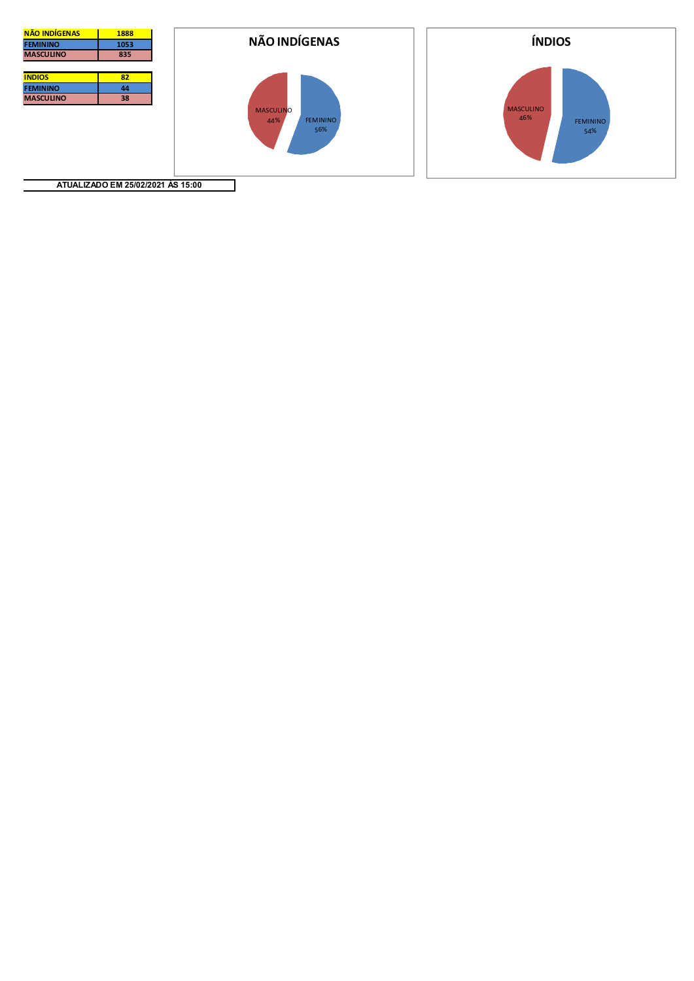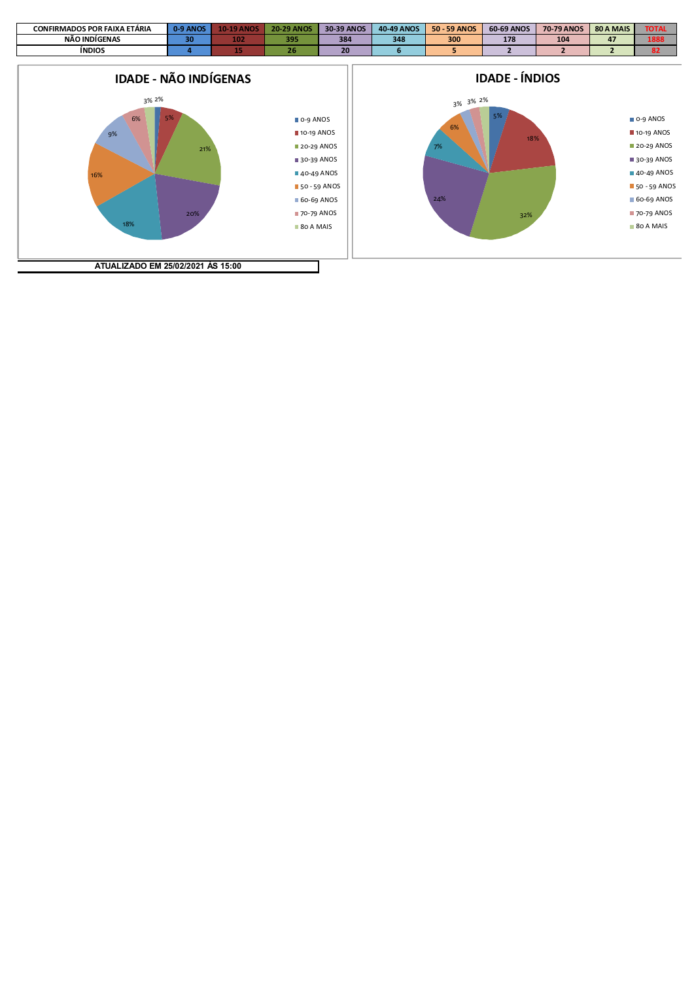

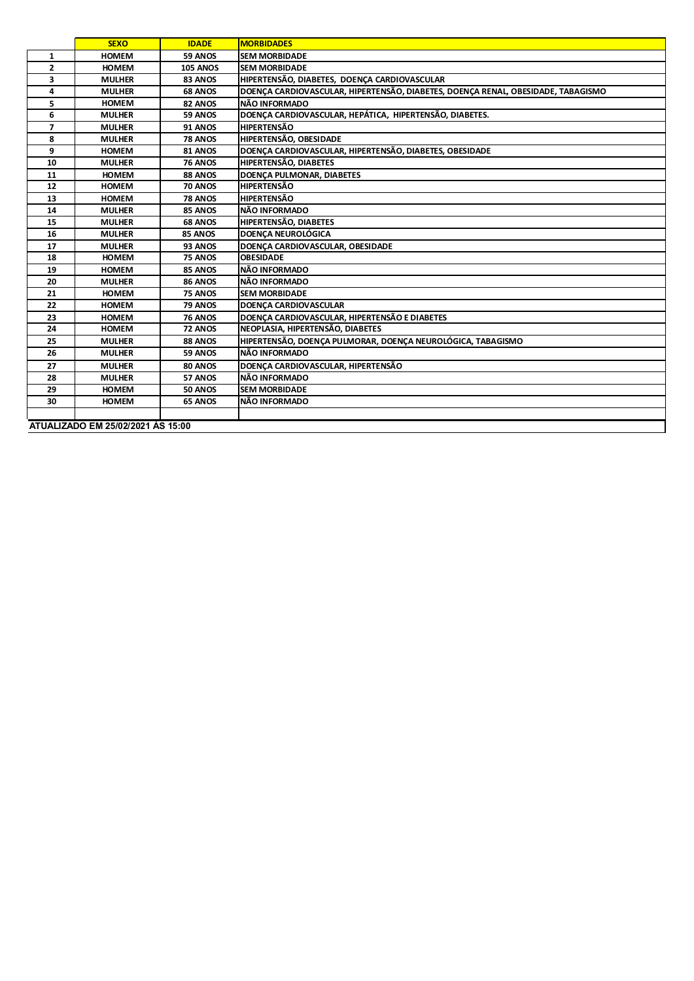|                                   | <b>SEXO</b>   | <b>IDADE</b>    | <b>MORBIDADES</b>                                                                |  |
|-----------------------------------|---------------|-----------------|----------------------------------------------------------------------------------|--|
| $\mathbf{1}$                      | <b>HOMEM</b>  | 59 ANOS         | <b>SEM MORBIDADE</b>                                                             |  |
| $\mathbf{2}$                      | <b>HOMEM</b>  | <b>105 ANOS</b> | <b>SEM MORBIDADE</b>                                                             |  |
| 3                                 | <b>MULHER</b> | 83 ANOS         | HIPERTENSÃO, DIABETES, DOENÇA CARDIOVASCULAR                                     |  |
| 4                                 | <b>MULHER</b> | 68 ANOS         | DOENÇA CARDIOVASCULAR, HIPERTENSÃO, DIABETES, DOENÇA RENAL, OBESIDADE, TABAGISMO |  |
| 5                                 | <b>HOMEM</b>  | 82 ANOS         | NÃO INFORMADO                                                                    |  |
| 6                                 | <b>MULHER</b> | 59 ANOS         | DOENÇA CARDIOVASCULAR, HEPÁTICA, HIPERTENSÃO, DIABETES.                          |  |
| 7                                 | <b>MULHER</b> | <b>91 ANOS</b>  | <b>HIPERTENSÃO</b>                                                               |  |
| 8                                 | <b>MULHER</b> | <b>78 ANOS</b>  | HIPERTENSÃO, OBESIDADE                                                           |  |
| 9                                 | <b>HOMEM</b>  | 81 ANOS         | DOENÇA CARDIOVASCULAR, HIPERTENSÃO, DIABETES, OBESIDADE                          |  |
| 10                                | <b>MULHER</b> | <b>76 ANOS</b>  | HIPERTENSÃO, DIABETES                                                            |  |
| 11                                | <b>HOMEM</b>  | 88 ANOS         | <b>DOENÇA PULMONAR, DIABETES</b>                                                 |  |
| 12                                | <b>HOMEM</b>  | 70 ANOS         | HIPERTENSÃO                                                                      |  |
| 13                                | <b>HOMEM</b>  | 78 ANOS         | <b>HIPERTENSÃO</b>                                                               |  |
| 14                                | <b>MULHER</b> | 85 ANOS         | NÃO INFORMADO                                                                    |  |
| 15                                | <b>MULHER</b> | 68 ANOS         | HIPERTENSÃO, DIABETES                                                            |  |
| 16                                | <b>MULHER</b> | 85 ANOS         | <b>DOENÇA NEUROLÓGICA</b>                                                        |  |
| 17                                | <b>MULHER</b> | 93 ANOS         | DOENCA CARDIOVASCULAR, OBESIDADE                                                 |  |
| 18                                | <b>HOMEM</b>  | 75 ANOS         | <b>OBESIDADE</b>                                                                 |  |
| 19                                | <b>HOMEM</b>  | 85 ANOS         | NÃO INFORMADO                                                                    |  |
| 20                                | <b>MULHER</b> | 86 ANOS         | NÃO INFORMADO                                                                    |  |
| 21                                | <b>HOMEM</b>  | 75 ANOS         | <b>SEM MORBIDADE</b>                                                             |  |
| 22                                | <b>HOMEM</b>  | 79 ANOS         | <b>DOENCA CARDIOVASCULAR</b>                                                     |  |
| 23                                | <b>HOMEM</b>  | <b>76 ANOS</b>  | DOENÇA CARDIOVASCULAR, HIPERTENSÃO E DIABETES                                    |  |
| 24                                | <b>HOMEM</b>  | 72 ANOS         | NEOPLASIA, HIPERTENSÃO, DIABETES                                                 |  |
| 25                                | <b>MULHER</b> | 88 ANOS         | HIPERTENSÃO, DOENÇA PULMORAR, DOENÇA NEUROLÓGICA, TABAGISMO                      |  |
| 26                                | <b>MULHER</b> | 59 ANOS         | NÃO INFORMADO                                                                    |  |
| 27                                | <b>MULHER</b> | 80 ANOS         | DOENÇA CARDIOVASCULAR, HIPERTENSÃO                                               |  |
| 28                                | <b>MULHER</b> | 57 ANOS         | NÃO INFORMADO                                                                    |  |
| 29                                | <b>HOMEM</b>  | <b>50 ANOS</b>  | <b>SEM MORBIDADE</b>                                                             |  |
| 30                                | <b>HOMEM</b>  | 65 ANOS         | NÃO INFORMADO                                                                    |  |
|                                   |               |                 |                                                                                  |  |
| ATUALIZADO EM 25/02/2021 ÀS 15:00 |               |                 |                                                                                  |  |